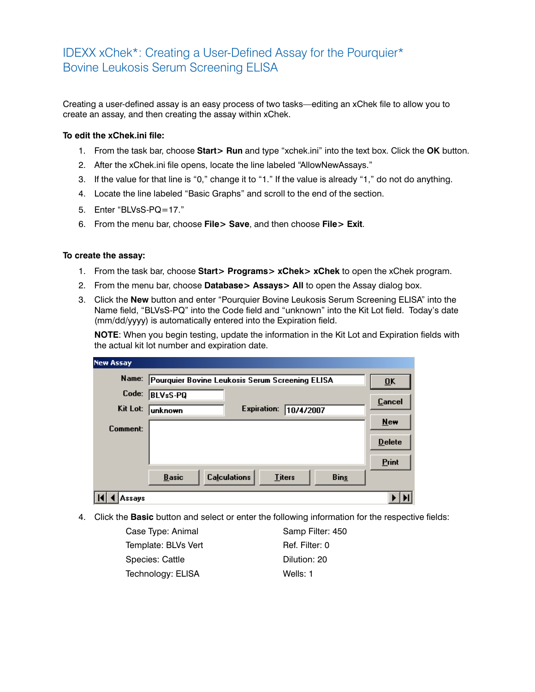## IDEXX xChek\*: Creating a User-Defined Assay for the Pourquier\* Bovine Leukosis Serum Screening ELISA

Creating a user-defined assay is an easy process of two tasks—editing an xChek file to allow you to create an assay, and then creating the assay within xChek.

## **To edit the xChek.ini file:**

- 1. From the task bar, choose **Start> Run** and type "xchek.ini" into the text box. Click the **OK** button.
- 2. After the xChek.ini file opens, locate the line labeled "AllowNewAssays."
- 3. If the value for that line is "0," change it to "1." If the value is already "1," do not do anything.
- 4. Locate the line labeled "Basic Graphs" and scroll to the end of the section.
- 5. Enter "BLVsS-PQ=17."
- 6. From the menu bar, choose **File> Save**, and then choose **File> Exit**.

## **To create the assay:**

- 1. From the task bar, choose **Start> Programs> xChek> xChek** to open the xChek program.
- 2. From the menu bar, choose **Database> Assays> All** to open the Assay dialog box.
- 3. Click the **New** button and enter "Pourquier Bovine Leukosis Serum Screening ELISA" into the Name field, "BLVsS-PQ" into the Code field and "unknown" into the Kit Lot field. Today's date (mm/dd/yyyy) is automatically entered into the Expiration field.

**NOTE:** When you begin testing, update the information in the Kit Lot and Expiration fields with the actual kit lot number and expiration date.

| <b>New Assay</b> |                                                                     |                  |
|------------------|---------------------------------------------------------------------|------------------|
| Name:            | Pourquier Bovine Leukosis Serum Screening ELISA                     | $\overline{0}$ K |
| Code:            | <b>BLVsS-PQ</b>                                                     | Cancel           |
| Kit Lot:         | <b>Expiration:</b><br>10/4/2007<br>unknown                          |                  |
| Comment:         |                                                                     | New              |
|                  |                                                                     | <b>Delete</b>    |
|                  |                                                                     | Print            |
|                  | <b>Calculations</b><br><b>Basic</b><br><b>Titers</b><br><b>Bins</b> |                  |
| Assavs           |                                                                     |                  |

4. Click the **Basic** button and select or enter the following information for the respective fields:

Case Type: Animal Samp Filter: 450 Template: BLVs Vert Ref. Filter: 0 Species: Cattle **Dilution: 20** Technology: ELISA Wells: 1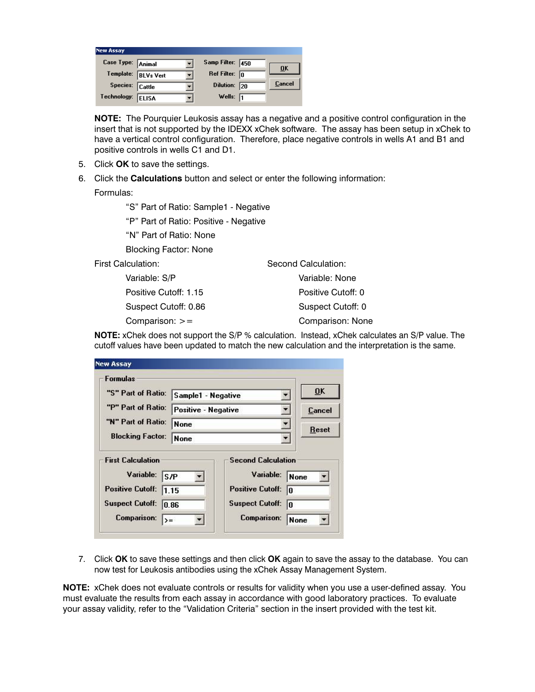| <b>New Assay</b>  |                     |                         |                           |
|-------------------|---------------------|-------------------------|---------------------------|
| Case Type: Animal |                     | Samp Filter: 450        | $\overline{\mathbf{0}}$ K |
|                   | Template: BLVs Vert | Ref Filter: $\boxed{0}$ |                           |
| Species: Cattle   |                     | Dilution: 20            | Cancel                    |
| Technology:       | <b>ELISA</b>        | Wells: $\sqrt{1}$       |                           |

**NOTE:** The Pourquier Leukosis assay has a negative and a positive control configuration in the insert that is not supported by the IDEXX xChek software. The assay has been setup in xChek to have a vertical control configuration. Therefore, place negative controls in wells A1 and B1 and positive controls in wells C1 and D1.

- 5. Click **OK** to save the settings.
- 6. Click the **Calculations** button and select or enter the following information:

Formulas:

"S" Part of Ratio: Sample1 - Negative

"P" Part of Ratio: Positive - Negative

"N" Part of Ratio: None

Blocking Factor: None

First Calculation:

 Variable: S/P Positive Cutoff: 1.15 Suspect Cutoff: 0.86 Comparison: >=

Second Calculation: Variable: None Positive Cutoff: 0 Suspect Cutoff: 0 Comparison: None

**NOTE:** xChek does not support the S/P % calculation. Instead, xChek calculates an S/P value. The cutoff values have been updated to match the new calculation and the interpretation is the same.

| <b>Formulas</b>                                                                                   |                            |                                                                                             |                  |
|---------------------------------------------------------------------------------------------------|----------------------------|---------------------------------------------------------------------------------------------|------------------|
| "S" Part of Ratio:                                                                                | Sample1 - Negative         |                                                                                             | 0 <sup>K</sup>   |
| "P" Part of Ratio:                                                                                | <b>Positive - Negative</b> |                                                                                             | Cancel           |
| "N" Part of Ratio:                                                                                | None                       |                                                                                             | <b>Reset</b>     |
| <b>Blocking Factor:</b>                                                                           | None                       |                                                                                             |                  |
| <b>First Calculation</b><br>Variable:<br>S/P<br><b>Positive Cutoff:</b><br><b>Suspect Cutoff:</b> | 1.15<br>10.86              | <b>Second Calculation</b><br>Variable:<br><b>Positive Cutoff:</b><br><b>Suspect Cutoff:</b> | None<br>I۵<br>l۵ |

7. Click **OK** to save these settings and then click **OK** again to save the assay to the database. You can now test for Leukosis antibodies using the xChek Assay Management System.

**NOTE:** xChek does not evaluate controls or results for validity when you use a user-defined assay. You must evaluate the results from each assay in accordance with good laboratory practices. To evaluate your assay validity, refer to the "Validation Criteria" section in the insert provided with the test kit.